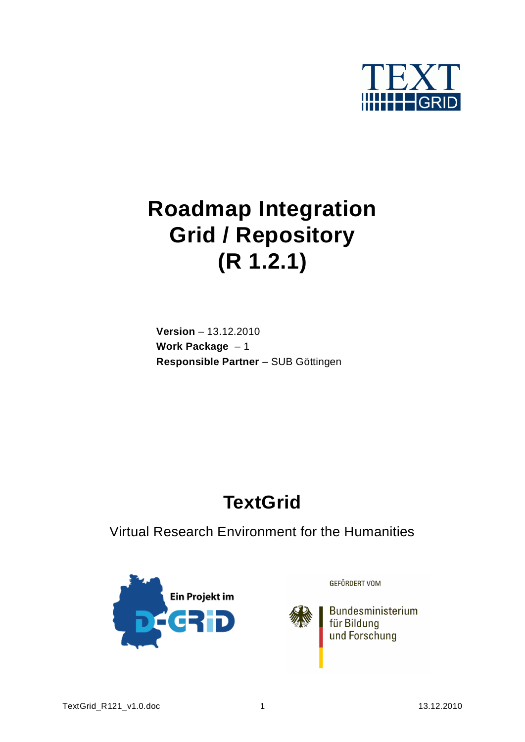

# **Roadmap Integration Grid / Repository (R 1.2.1)**

**Version** – 13.12.2010 **Work Package** – 1 **Responsible Partner** – SUB Göttingen

# **TextGrid**

Virtual Research Environment for the Humanities



GEFÖRDERT VOM

Bundesministerium für Bildung und Forschung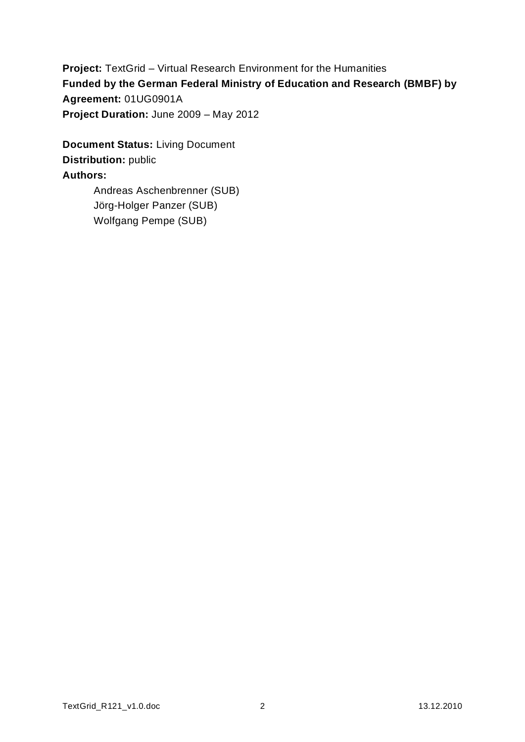**Project:** TextGrid – Virtual Research Environment for the Humanities **Funded by the German Federal Ministry of Education and Research (BMBF) by Agreement:** 01UG0901A **Project Duration:** June 2009 – May 2012

**Document Status:** Living Document **Distribution:** public **Authors:** Andreas Aschenbrenner (SUB)

Jörg-Holger Panzer (SUB) Wolfgang Pempe (SUB)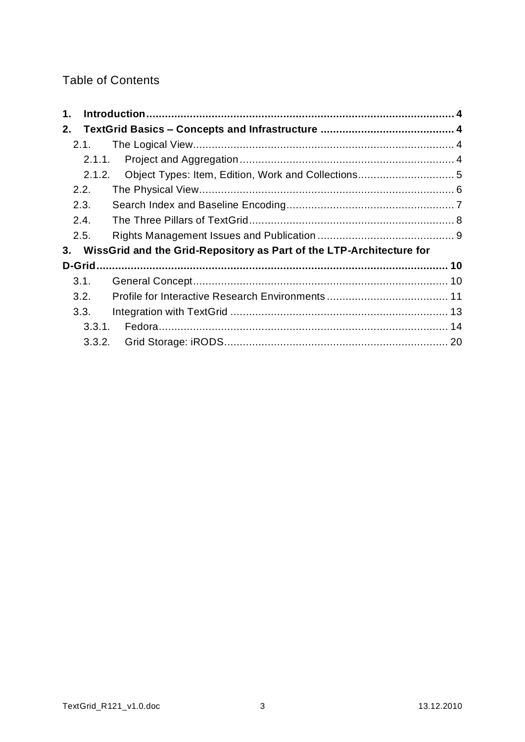### Table of Contents

| 1.     |                                                                      |  |
|--------|----------------------------------------------------------------------|--|
| 2.     |                                                                      |  |
| 2.1.   |                                                                      |  |
| 2.1.1. |                                                                      |  |
| 2.1.2. |                                                                      |  |
| 2.2.   |                                                                      |  |
| 2.3.   |                                                                      |  |
| 2.4.   |                                                                      |  |
| 2.5.   |                                                                      |  |
| 3.     | WissGrid and the Grid-Repository as Part of the LTP-Architecture for |  |
|        |                                                                      |  |
|        |                                                                      |  |
| 3.1.   |                                                                      |  |
| 3.2.   |                                                                      |  |
| 3.3.   |                                                                      |  |
| 3.3.1. |                                                                      |  |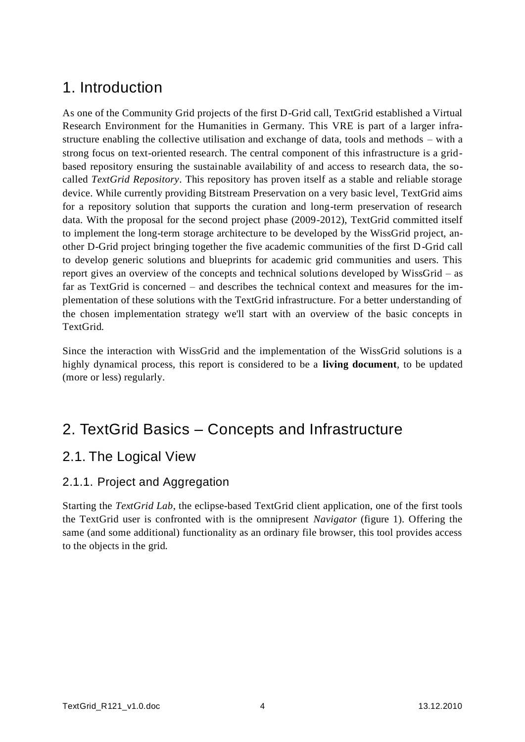# <span id="page-3-0"></span>1. Introduction

As one of the Community Grid projects of the first D-Grid call, TextGrid established a Virtual Research Environment for the Humanities in Germany. This VRE is part of a larger infrastructure enabling the collective utilisation and exchange of data, tools and methods – with a strong focus on text-oriented research. The central component of this infrastructure is a gridbased repository ensuring the sustainable availability of and access to research data, the socalled *TextGrid Repository*. This repository has proven itself as a stable and reliable storage device. While currently providing Bitstream Preservation on a very basic level, TextGrid aims for a repository solution that supports the curation and long-term preservation of research data. With the proposal for the second project phase (2009-2012), TextGrid committed itself to implement the long-term storage architecture to be developed by the WissGrid project, another D-Grid project bringing together the five academic communities of the first D-Grid call to develop generic solutions and blueprints for academic grid communities and users. This report gives an overview of the concepts and technical solutions developed by WissGrid – as far as TextGrid is concerned – and describes the technical context and measures for the implementation of these solutions with the TextGrid infrastructure. For a better understanding of the chosen implementation strategy we'll start with an overview of the basic concepts in TextGrid.

Since the interaction with WissGrid and the implementation of the WissGrid solutions is a highly dynamical process, this report is considered to be a **living document**, to be updated (more or less) regularly.

# <span id="page-3-1"></span>2. TextGrid Basics – Concepts and Infrastructure

## <span id="page-3-2"></span>2.1. The Logical View

### <span id="page-3-3"></span>2.1.1. Project and Aggregation

Starting the *TextGrid Lab*, the eclipse-based TextGrid client application, one of the first tools the TextGrid user is confronted with is the omnipresent *Navigator* (figure 1). Offering the same (and some additional) functionality as an ordinary file browser, this tool provides access to the objects in the grid.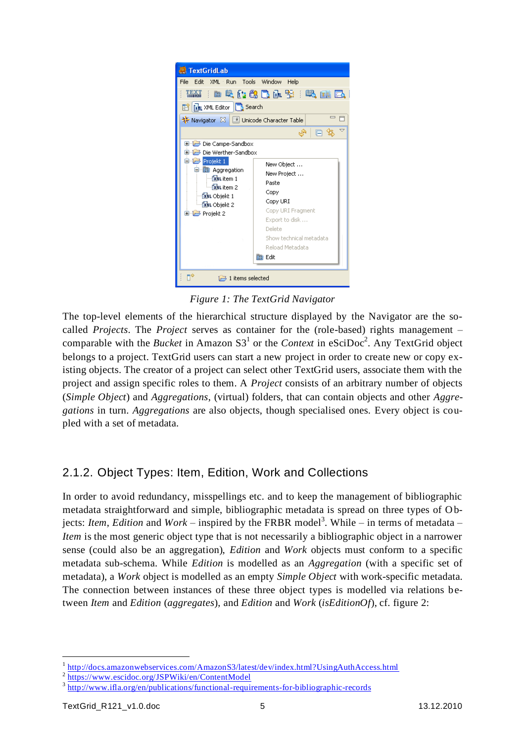

*Figure 1: The TextGrid Navigator*

The top-level elements of the hierarchical structure displayed by the Navigator are the socalled *Projects*. The *Project* serves as container for the (role-based) rights management – comparable with the *Bucket* in Amazon  $S3<sup>1</sup>$  or the *Context* in eSciDoc<sup>2</sup>. Any TextGrid object belongs to a project. TextGrid users can start a new project in order to create new or copy existing objects. The creator of a project can select other TextGrid users, associate them with the project and assign specific roles to them. A *Project* consists of an arbitrary number of objects (*Simple Object*) and *Aggregations*, (virtual) folders, that can contain objects and other *Aggregations* in turn. *Aggregations* are also objects, though specialised ones. Every object is coupled with a set of metadata.

### <span id="page-4-0"></span>2.1.2. Object Types: Item, Edition, Work and Collections

In order to avoid redundancy, misspellings etc. and to keep the management of bibliographic metadata straightforward and simple, bibliographic metadata is spread on three types of Objects: *Item, Edition* and *Work* – inspired by the FRBR model<sup>3</sup>. While – in terms of metadata – *Item* is the most generic object type that is not necessarily a bibliographic object in a narrower sense (could also be an aggregation), *Edition* and *Work* objects must conform to a specific metadata sub-schema. While *Edition* is modelled as an *Aggregation* (with a specific set of metadata), a *Work* object is modelled as an empty *Simple Object* with work-specific metadata. The connection between instances of these three object types is modelled via relations between *Item* and *Edition* (*aggregates*), and *Edition* and *Work* (*isEditionOf*), cf. figure 2:

 $\overline{a}$ 

<sup>&</sup>lt;sup>1</sup> http://docs.amazonwebservices.com/AmazonS3/latest/dev/index.html?UsingAuthAccess.html

<sup>&</sup>lt;sup>2</sup> https://www.escidoc.org/JSPWiki/en/ContentModel

<sup>&</sup>lt;sup>3</sup> http://www.ifla.org/en/publications/functional-requirements-for-bibliographic-records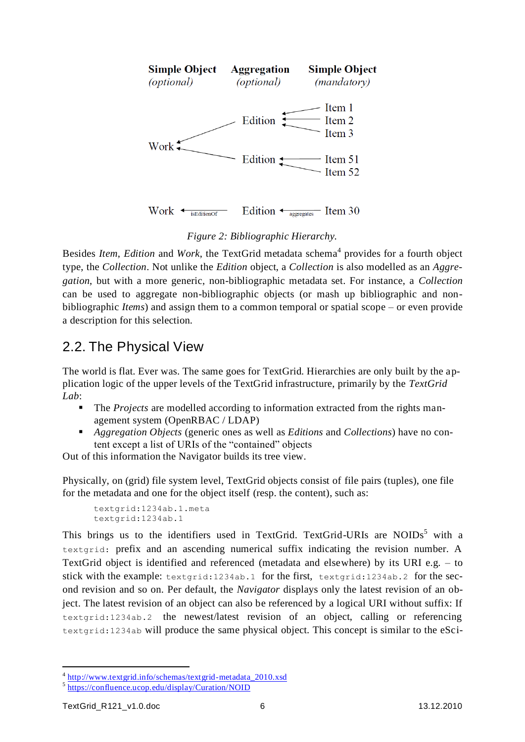

Work  $\leftarrow$  is Edition Of Edition  $\leftarrow$  aggregates Item 30

#### *Figure 2: Bibliographic Hierarchy.*

Besides *Item, Edition* and *Work*, the TextGrid metadata schema<sup>4</sup> provides for a fourth object type, the *Collection*. Not unlike the *Edition* object, a *Collection* is also modelled as an *Aggregation*, but with a more generic, non-bibliographic metadata set. For instance, a *Collection* can be used to aggregate non-bibliographic objects (or mash up bibliographic and nonbibliographic *Items*) and assign them to a common temporal or spatial scope – or even provide a description for this selection.

# <span id="page-5-0"></span>2.2. The Physical View

The world is flat. Ever was. The same goes for TextGrid. Hierarchies are only built by the application logic of the upper levels of the TextGrid infrastructure, primarily by the *TextGrid Lab*:

- The *Projects* are modelled according to information extracted from the rights management system (OpenRBAC / LDAP)
- *Aggregation Objects* (generic ones as well as *Editions* and *Collections*) have no content except a list of URIs of the "contained" objects

Out of this information the Navigator builds its tree view.

Physically, on (grid) file system level, TextGrid objects consist of file pairs (tuples), one file for the metadata and one for the object itself (resp. the content), such as:

```
textgrid:1234ab.1.meta
textgrid:1234ab.1
```
This brings us to the identifiers used in TextGrid. TextGrid-URIs are NOIDs<sup>5</sup> with a textgrid: prefix and an ascending numerical suffix indicating the revision number. A TextGrid object is identified and referenced (metadata and elsewhere) by its URI e.g. – to stick with the example: textgrid:1234ab.1 for the first, textgrid:1234ab.2 for the second revision and so on. Per default, the *Navigator* displays only the latest revision of an object. The latest revision of an object can also be referenced by a logical URI without suffix: If textgrid:1234ab.2 the newest/latest revision of an object, calling or referencing textgrid:1234ab will produce the same physical object. This concept is similar to the eSci-

<sup>&</sup>lt;sup>4</sup> http://www.textgrid.info/schemas/textgrid-metadata\_2010.xsd

<sup>&</sup>lt;sup>5</sup> https://confluence.ucop.edu/display/Curation/NOID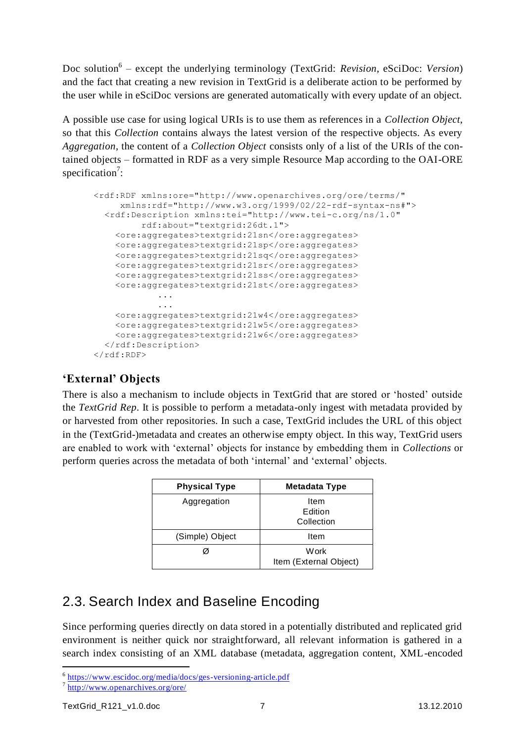Doc solution<sup>6</sup> – except the underlying terminology (TextGrid: *Revision*, eSciDoc: *Version*) and the fact that creating a new revision in TextGrid is a deliberate action to be performed by the user while in eSciDoc versions are generated automatically with every update of an object.

A possible use case for using logical URIs is to use them as references in a *Collection Object*, so that this *Collection* contains always the latest version of the respective objects. As every *Aggregation*, the content of a *Collection Object* consists only of a list of the URIs of the contained objects – formatted in RDF as a very simple Resource Map according to the OAI-ORE specification<sup>7</sup>:

```
<rdf:RDF xmlns:ore="http://www.openarchives.org/ore/terms/" 
     xmlns:rdf="http://www.w3.org/1999/02/22-rdf-syntax-ns#">
   <rdf:Description xmlns:tei="http://www.tei-c.org/ns/1.0" 
          rdf:about="textgrid:26dt.1">
     <ore:aggregates>textgrid:21sn</ore:aggregates>
     <ore:aggregates>textgrid:21sp</ore:aggregates>
     <ore:aggregates>textgrid:21sq</ore:aggregates>
     <ore:aggregates>textgrid:21sr</ore:aggregates>
     <ore:aggregates>textgrid:21ss</ore:aggregates>
     <ore:aggregates>textgrid:21st</ore:aggregates>
             ...
             ...
     <ore:aggregates>textgrid:21w4</ore:aggregates>
     <ore:aggregates>textgrid:21w5</ore:aggregates>
     <ore:aggregates>textgrid:21w6</ore:aggregates>
   </rdf:Description>
\langle/rdf:RDF>
```
### **'External' Objects**

There is also a mechanism to include objects in TextGrid that are stored or "hosted" outside the *TextGrid Rep*. It is possible to perform a metadata-only ingest with metadata provided by or harvested from other repositories. In such a case, TextGrid includes the URL of this object in the (TextGrid-)metadata and creates an otherwise empty object. In this way, TextGrid users are enabled to work with "external" objects for instance by embedding them in *Collections* or perform queries across the metadata of both "internal" and "external" objects.

| <b>Physical Type</b> | <b>Metadata Type</b>           |
|----------------------|--------------------------------|
| Aggregation          | Item<br>Edition<br>Collection  |
| (Simple) Object      | Item                           |
|                      | Work<br>Item (External Object) |

# <span id="page-6-0"></span>2.3. Search Index and Baseline Encoding

Since performing queries directly on data stored in a potentially distributed and replicated grid environment is neither quick nor straightforward, all relevant information is gathered in a search index consisting of an XML database (metadata, aggregation content, XML-encoded

 <sup>6</sup> https://www.escidoc.org/media/docs/ges-versioning-article.pdf

<sup>7</sup> <http://www.openarchives.org/ore/>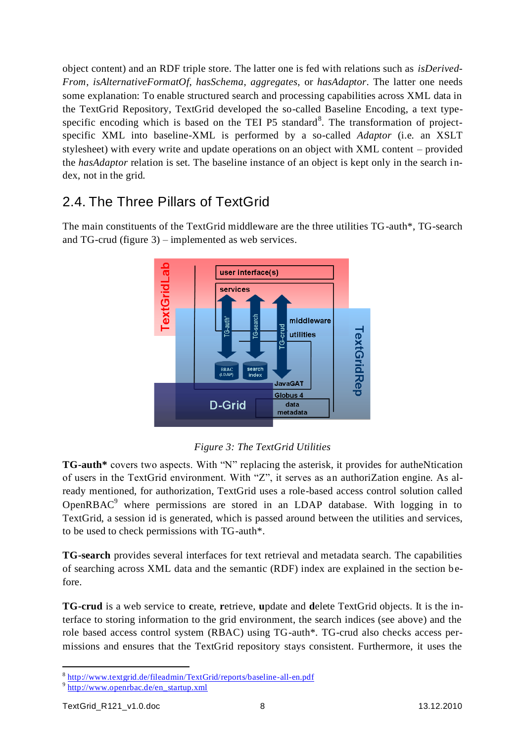object content) and an RDF triple store. The latter one is fed with relations such as *isDerived-From*, *isAlternativeFormatOf*, *hasSchema*, *aggregates*, or *hasAdaptor*. The latter one needs some explanation: To enable structured search and processing capabilities across XML data in the TextGrid Repository, TextGrid developed the so-called Baseline Encoding, a text typespecific encoding which is based on the TEI P5 standard<sup>8</sup>. The transformation of projectspecific XML into baseline-XML is performed by a so-called *Adaptor* (i.e. an XSLT stylesheet) with every write and update operations on an object with XML content – provided the *hasAdaptor* relation is set. The baseline instance of an object is kept only in the search index, not in the grid.

# <span id="page-7-0"></span>2.4. The Three Pillars of TextGrid

The main constituents of the TextGrid middleware are the three utilities TG-auth\*, TG-search and TG-crud (figure 3) – implemented as web services.





**TG-auth\*** covers two aspects. With "N" replacing the asterisk, it provides for autheNtication of users in the TextGrid environment. With "Z", it serves as an authoriZation engine. As already mentioned, for authorization, TextGrid uses a role-based access control solution called OpenRBAC<sup>9</sup> where permissions are stored in an LDAP database. With logging in to TextGrid, a session id is generated, which is passed around between the utilities and services, to be used to check permissions with TG-auth\*.

**TG-search** provides several interfaces for text retrieval and metadata search. The capabilities of searching across XML data and the semantic (RDF) index are explained in the section before.

**TG-crud** is a web service to **c**reate, **r**etrieve, **u**pdate and **d**elete TextGrid objects. It is the interface to storing information to the grid environment, the search indices (see above) and the role based access control system (RBAC) using TG-auth\*. TG-crud also checks access permissions and ensures that the TextGrid repository stays consistent. Furthermore, it uses the

<sup>8</sup> <http://www.textgrid.de/fileadmin/TextGrid/reports/baseline-all-en.pdf>

<sup>&</sup>lt;sup>9</sup> [http://www.openrbac.de/en\\_startup.xml](http://www.openrbac.de/en_startup.xml)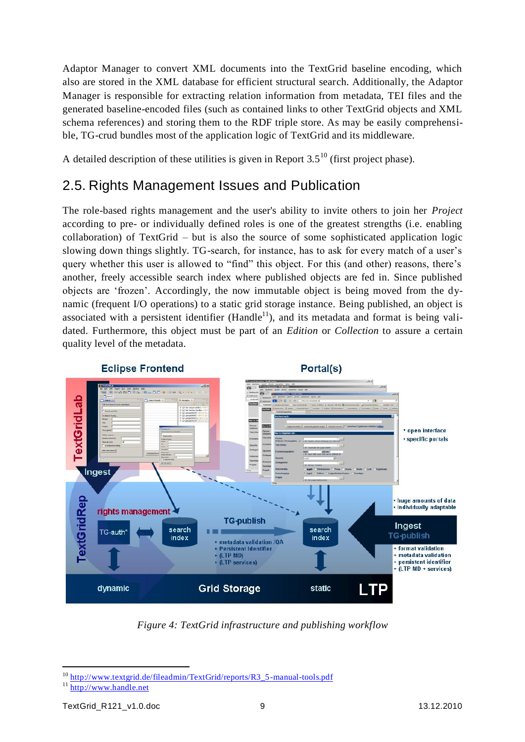Adaptor Manager to convert XML documents into the TextGrid baseline encoding, which also are stored in the XML database for efficient structural search. Additionally, the Adaptor Manager is responsible for extracting relation information from metadata, TEI files and the generated baseline-encoded files (such as contained links to other TextGrid objects and XML schema references) and storing them to the RDF triple store. As may be easily comprehensible, TG-crud bundles most of the application logic of TextGrid and its middleware.

A detailed description of these utilities is given in Report  $3.5^{10}$  (first project phase).

## <span id="page-8-0"></span>2.5. Rights Management Issues and Publication

The role-based rights management and the user's ability to invite others to join her *Project* according to pre- or individually defined roles is one of the greatest strengths (i.e. enabling collaboration) of TextGrid – but is also the source of some sophisticated application logic slowing down things slightly. TG-search, for instance, has to ask for every match of a user's query whether this user is allowed to "find" this object. For this (and other) reasons, there"s another, freely accessible search index where published objects are fed in. Since published objects are "frozen". Accordingly, the now immutable object is being moved from the dynamic (frequent I/O operations) to a static grid storage instance. Being published, an object is associated with a persistent identifier (Handle<sup>11</sup>), and its metadata and format is being validated. Furthermore, this object must be part of an *Edition* or *Collection* to assure a certain quality level of the metadata.



*Figure 4: TextGrid infrastructure and publishing workflow*

<sup>&</sup>lt;sup>10</sup> [http://www.textgrid.de/fileadmin/TextGrid/reports/R3\\_5-manual-tools.pdf](http://www.textgrid.de/fileadmin/TextGrid/reports/R3_5-manual-tools.pdf)

 $11$  [http://www.handle.net](http://www.handle.net/)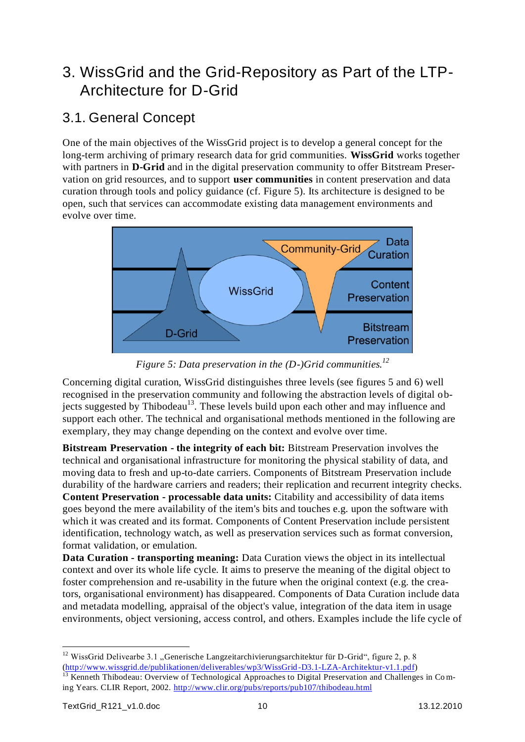# <span id="page-9-0"></span>3. WissGrid and the Grid-Repository as Part of the LTP-Architecture for D-Grid

# <span id="page-9-1"></span>3.1. General Concept

One of the main objectives of the WissGrid project is to develop a general concept for the long-term archiving of primary research data for grid communities. **WissGrid** works together with partners in **D-Grid** and in the digital preservation community to offer Bitstream Preservation on grid resources, and to support **user communities** in content preservation and data curation through tools and policy guidance (cf. Figure 5). Its architecture is designed to be open, such that services can accommodate existing data management environments and evolve over time.



*Figure 5: Data preservation in the (D-)Grid communities.<sup>12</sup>*

Concerning digital curation, WissGrid distinguishes three levels (see figures 5 and 6) well recognised in the preservation community and following the abstraction levels of digital objects suggested by Thibodeau<sup>13</sup>. These levels build upon each other and may influence and support each other. The technical and organisational methods mentioned in the following are exemplary, they may change depending on the context and evolve over time.

**Bitstream Preservation - the integrity of each bit:** Bitstream Preservation involves the technical and organisational infrastructure for monitoring the physical stability of data, and moving data to fresh and up-to-date carriers. Components of Bitstream Preservation include durability of the hardware carriers and readers; their replication and recurrent integrity checks. **Content Preservation - processable data units:** Citability and accessibility of data items goes beyond the mere availability of the item's bits and touches e.g. upon the software with which it was created and its format. Components of Content Preservation include persistent identification, technology watch, as well as preservation services such as format conversion, format validation, or emulation.

**Data Curation - transporting meaning:** Data Curation views the object in its intellectual context and over its whole life cycle. It aims to preserve the meaning of the digital object to foster comprehension and re-usability in the future when the original context (e.g. the creators, organisational environment) has disappeared. Components of Data Curation include data and metadata modelling, appraisal of the object's value, integration of the data item in usage environments, object versioning, access control, and others. Examples include the life cycle of

 <sup>12</sup> WissGrid Delivearbe 3.1 "Generische Langzeitarchivierungsarchitektur für D-Grid", figure 2, p. 8 [\(http://www.wissgrid.de/publikationen/deliverables/wp3/WissGrid-D3.1-LZA-Architektur-v1.1.pdf\)](http://www.wissgrid.de/publikationen/deliverables/wp3/WissGrid-D3.1-LZA-Architektur-v1.1.pdf) <sup>13</sup> Kenneth Thibodeau: Overview of Technological Approaches to Digital Preservation and Challenges in Coming Years. CLIR Report, 2002.<http://www.clir.org/pubs/reports/pub107/thibodeau.html>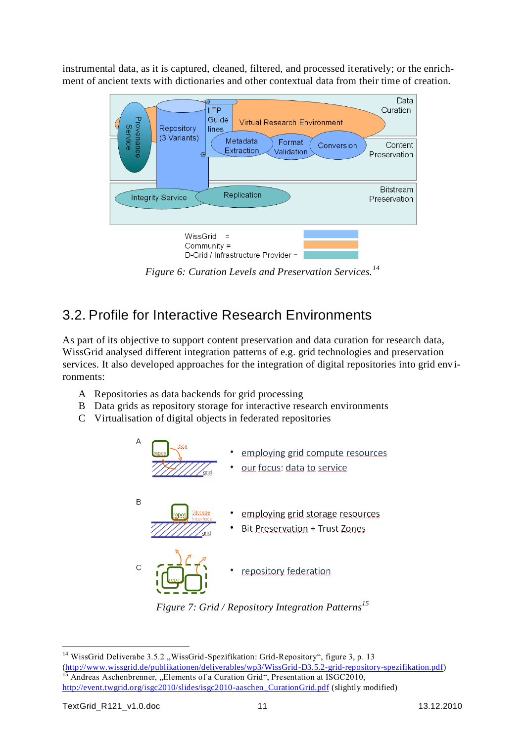instrumental data, as it is captured, cleaned, filtered, and processed iteratively; or the enrichment of ancient texts with dictionaries and other contextual data from their time of creation.



*Figure 6: Curation Levels and Preservation Services.<sup>14</sup>*

# <span id="page-10-0"></span>3.2. Profile for Interactive Research Environments

As part of its objective to support content preservation and data curation for research data, WissGrid analysed different integration patterns of e.g. grid technologies and preservation services. It also developed approaches for the integration of digital repositories into grid environments:

- A Repositories as data backends for grid processing
- B Data grids as repository storage for interactive research environments
- C Virtualisation of digital objects in federated repositories





<sup>&</sup>lt;sup>14</sup> WissGrid Deliverabe 3.5.2 "WissGrid-Spezifikation: Grid-Repository", figure 3, p. 13 [\(http://www.wissgrid.de/publikationen/deliverables/wp3/WissGrid-D3.5.2-grid-repository-spezifikation.pdf\)](http://www.wissgrid.de/publikationen/deliverables/wp3/WissGrid-D3.5.2-grid-repository-spezifikation.pdf) <sup>15</sup> Andreas Aschenbrenner, "Elements of a Curation Grid", Presentation at ISGC2010, [http://event.twgrid.org/isgc2010/slides/isgc2010-aaschen\\_CurationGrid.pdf](http://event.twgrid.org/isgc2010/slides/isgc2010-aaschen_CurationGrid.pdf) (slightly modified)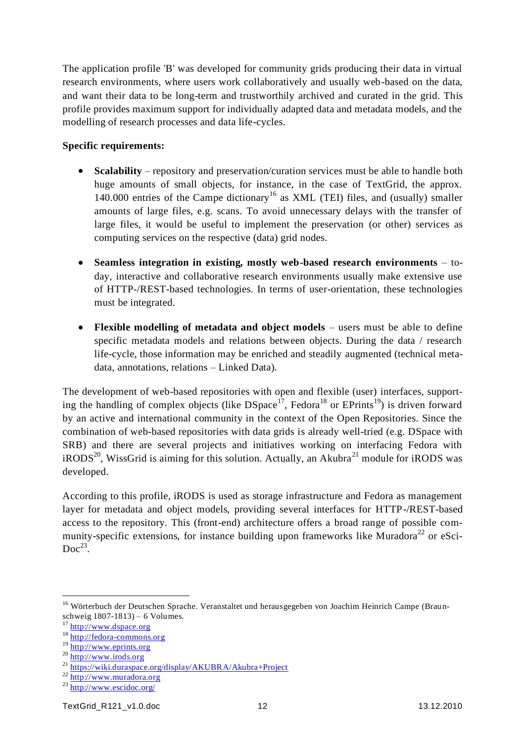The application profile 'B' was developed for community grids producing their data in virtual research environments, where users work collaboratively and usually web-based on the data, and want their data to be long-term and trustworthily archived and curated in the grid. This profile provides maximum support for individually adapted data and metadata models, and the modelling of research processes and data life-cycles.

#### **Specific requirements:**

- **Scalability** repository and preservation/curation services must be able to handle both huge amounts of small objects, for instance, in the case of TextGrid, the approx. 140.000 entries of the Campe dictionary<sup>16</sup> as XML (TEI) files, and (usually) smaller amounts of large files, e.g. scans. To avoid unnecessary delays with the transfer of large files, it would be useful to implement the preservation (or other) services as computing services on the respective (data) grid nodes.
- **Seamless integration in existing, mostly web-based research environments** to- $\bullet$ day, interactive and collaborative research environments usually make extensive use of HTTP-/REST-based technologies. In terms of user-orientation, these technologies must be integrated.
- **Flexible modelling of metadata and object models** users must be able to define  $\bullet$ specific metadata models and relations between objects. During the data / research life-cycle, those information may be enriched and steadily augmented (technical metadata, annotations, relations – Linked Data).

The development of web-based repositories with open and flexible (user) interfaces, supporting the handling of complex objects (like  $DSpace<sup>17</sup>$ , Fedora<sup>18</sup> or EPrints<sup>19</sup>) is driven forward by an active and international community in the context of the Open Repositories. Since the combination of web-based repositories with data grids is already well-tried (e.g. DSpace with SRB) and there are several projects and initiatives working on interfacing Fedora with  $iRODS<sup>20</sup>$ , WissGrid is aiming for this solution. Actually, an Akubra<sup>21</sup> module for  $iRODS$  was developed.

According to this profile, iRODS is used as storage infrastructure and Fedora as management layer for metadata and object models, providing several interfaces for HTTP-/REST-based access to the repository. This (front-end) architecture offers a broad range of possible community-specific extensions, for instance building upon frameworks like Muradora<sup>22</sup> or eSci- $Doc^{23}$ .

<sup>&</sup>lt;sup>16</sup> Wörterbuch der Deutschen Sprache. Veranstaltet und herausgegeben von Joachim Heinrich Campe (Braunschweig 1807-1813) – 6 Volumes.

<sup>&</sup>lt;sup>17</sup> [http://www.dspace.org](http://www.dspace.org/)

<sup>18</sup> http://fed<u>ora-commons.org</u>

<sup>19</sup> [http://www.eprints.org](http://www.eprints.org/)

<sup>20</sup> [http://www.irods.org](http://www.irods.org/)

<sup>21</sup> <https://wiki.duraspace.org/display/AKUBRA/Akubra+Project>

<sup>22</sup> [http://www.muradora.org](http://www.muradora.org/)

<sup>23</sup> <http://www.escidoc.org/>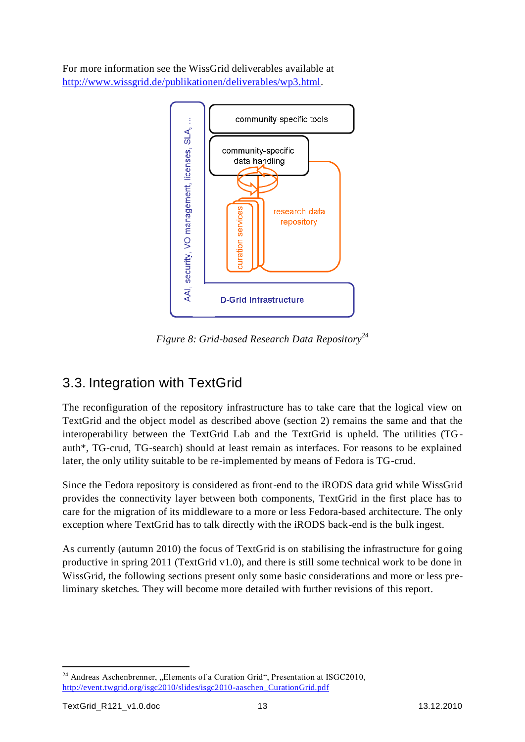For more information see the WissGrid deliverables available at [http://www.wissgrid.de/publikationen/deliverables/wp3.html.](http://www.wissgrid.de/publikationen/deliverables/wp3.html)



*Figure 8: Grid-based Research Data Repository<sup>24</sup>*

# <span id="page-12-0"></span>3.3. Integration with TextGrid

The reconfiguration of the repository infrastructure has to take care that the logical view on TextGrid and the object model as described above (section 2) remains the same and that the interoperability between the TextGrid Lab and the TextGrid is upheld. The utilities (TGauth\*, TG-crud, TG-search) should at least remain as interfaces. For reasons to be explained later, the only utility suitable to be re-implemented by means of Fedora is TG-crud.

Since the Fedora repository is considered as front-end to the iRODS data grid while WissGrid provides the connectivity layer between both components, TextGrid in the first place has to care for the migration of its middleware to a more or less Fedora-based architecture. The only exception where TextGrid has to talk directly with the iRODS back-end is the bulk ingest.

As currently (autumn 2010) the focus of TextGrid is on stabilising the infrastructure for going productive in spring 2011 (TextGrid v1.0), and there is still some technical work to be done in WissGrid, the following sections present only some basic considerations and more or less preliminary sketches. They will become more detailed with further revisions of this report.

  $24$  Andreas Aschenbrenner, "Elements of a Curation Grid", Presentation at ISGC2010, [http://event.twgrid.org/isgc2010/slides/isgc2010-aaschen\\_CurationGrid.pdf](http://event.twgrid.org/isgc2010/slides/isgc2010-aaschen_CurationGrid.pdf)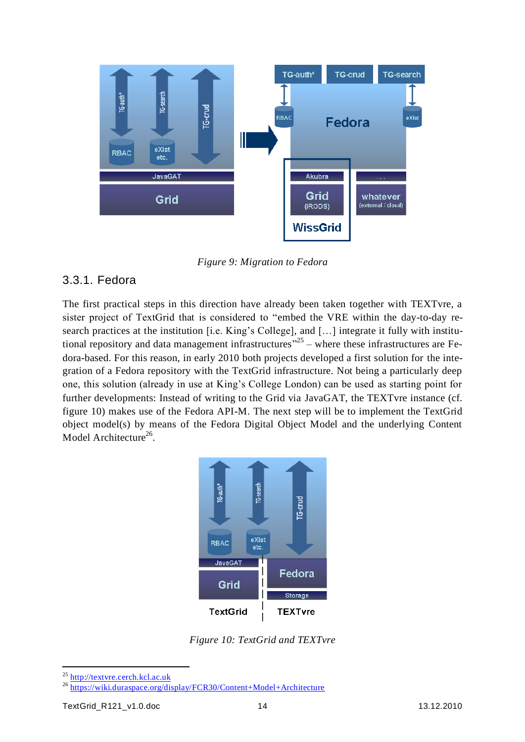

*Figure 9: Migration to Fedora*

#### <span id="page-13-0"></span>3.3.1. Fedora

The first practical steps in this direction have already been taken together with TEXTvre, a sister project of TextGrid that is considered to "embed the VRE within the day-to-day research practices at the institution [i.e. King's College], and [...] integrate it fully with institutional repository and data management infrastructures<sup> $25$ </sup> – where these infrastructures are Fedora-based. For this reason, in early 2010 both projects developed a first solution for the integration of a Fedora repository with the TextGrid infrastructure. Not being a particularly deep one, this solution (already in use at King"s College London) can be used as starting point for further developments: Instead of writing to the Grid via JavaGAT, the TEXTvre instance (cf. figure 10) makes use of the Fedora API-M. The next step will be to implement the TextGrid object model(s) by means of the Fedora Digital Object Model and the underlying Content Model Architecture<sup>26</sup>.



*Figure 10: TextGrid and TEXTvre*

<sup>25</sup> [http://textvre.cerch.kcl.ac.uk](http://textvre.cerch.kcl.ac.uk/)

<sup>26</sup> <https://wiki.duraspace.org/display/FCR30/Content+Model+Architecture>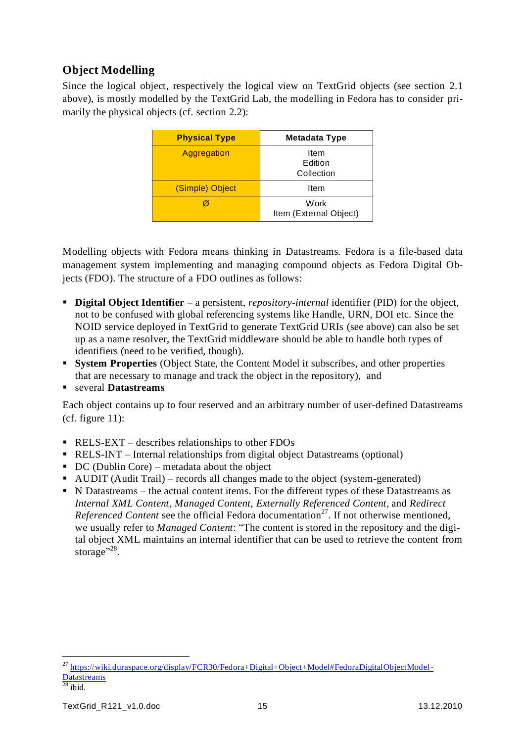### **Object Modelling**

Since the logical object, respectively the logical view on TextGrid objects (see section [2.1](#page-3-2) above), is mostly modelled by the TextGrid Lab, the modelling in Fedora has to consider primarily the physical objects (cf. section [2.2\)](#page-5-0):

| <b>Physical Type</b> | <b>Metadata Type</b>           |
|----------------------|--------------------------------|
| Aggregation          | Item<br>Edition<br>Collection  |
| (Simple) Object      | Item                           |
|                      | Work<br>Item (External Object) |

Modelling objects with Fedora means thinking in Datastreams. Fedora is a file-based data management system implementing and managing compound objects as Fedora Digital Objects (FDO). The structure of a FDO outlines as follows:

- **Digital Object Identifier** a persistent, *repository-internal* identifier (PID) for the object, not to be confused with global referencing systems like Handle, URN, DOI etc. Since the NOID service deployed in TextGrid to generate TextGrid URIs (see above) can also be set up as a name resolver, the TextGrid middleware should be able to handle both types of identifiers (need to be verified, though).
- **System Properties** (Object State, the Content Model it subscribes, and other properties that are necessary to manage and track the object in the repository), and
- several **Datastreams**

Each object contains up to four reserved and an arbitrary number of user-defined Datastreams (cf. figure 11):

- RELS-EXT describes relationships to other FDOs
- RELS-INT Internal relationships from digital object Datastreams (optional)
- $\blacksquare$  DC (Dublin Core) metadata about the object
- AUDIT (Audit Trail) records all changes made to the object (system-generated)
- N Datastreams the actual content items. For the different types of these Datastreams as *Internal XML Content*, *Managed Content*, *Externally Referenced Content*, and *Redirect Referenced Content* see the official Fedora documentation<sup>27</sup>. If not otherwise mentioned, we usually refer to *Managed Content*: "The content is stored in the repository and the digital object XML maintains an internal identifier that can be used to retrieve the content from storage"<sup>28</sup>.

 $\overline{a}$ 

<sup>&</sup>lt;sup>27</sup> [https://wiki.duraspace.org/display/FCR30/Fedora+Digital+Object+Model#FedoraDigitalObjectModel-](https://wiki.duraspace.org/display/FCR30/Fedora+Digital+Object+Model#FedoraDigitalObjectModel-Datastreams)[Datastreams](https://wiki.duraspace.org/display/FCR30/Fedora+Digital+Object+Model#FedoraDigitalObjectModel-Datastreams)

 $\overline{^{28}}$  ibid.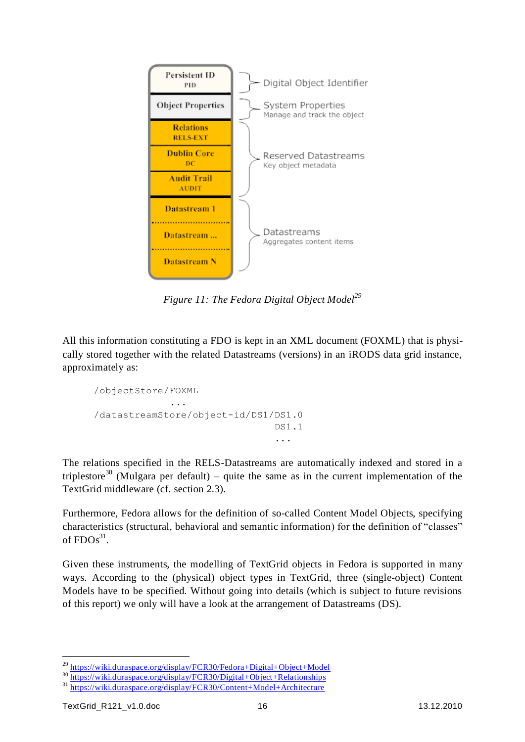

*Figure 11: The Fedora Digital Object Model<sup>29</sup>*

All this information constituting a FDO is kept in an XML document (FOXML) that is physically stored together with the related Datastreams (versions) in an iRODS data grid instance, approximately as:

```
/objectStore/FOXML
               ...
/datastreamStore/object-id/DS1/DS1.0
                                   DS1.1
                                  ...
```
The relations specified in the RELS-Datastreams are automatically indexed and stored in a triplestore<sup>30</sup> (Mulgara per default) – quite the same as in the current implementation of the TextGrid middleware (cf. section [2.3\)](#page-6-0).

Furthermore, Fedora allows for the definition of so-called Content Model Objects, specifying characteristics (structural, behavioral and semantic information) for the definition of "classes" of  $FDOs<sup>31</sup>$ .

Given these instruments, the modelling of TextGrid objects in Fedora is supported in many ways. According to the (physical) object types in TextGrid, three (single-object) Content Models have to be specified. Without going into details (which is subject to future revisions of this report) we only will have a look at the arrangement of Datastreams (DS).

 $\overline{a}$ 

<sup>29</sup> <https://wiki.duraspace.org/display/FCR30/Fedora+Digital+Object+Model>

<sup>30</sup> <https://wiki.duraspace.org/display/FCR30/Digital+Object+Relationships>

<sup>31</sup> <https://wiki.duraspace.org/display/FCR30/Content+Model+Architecture>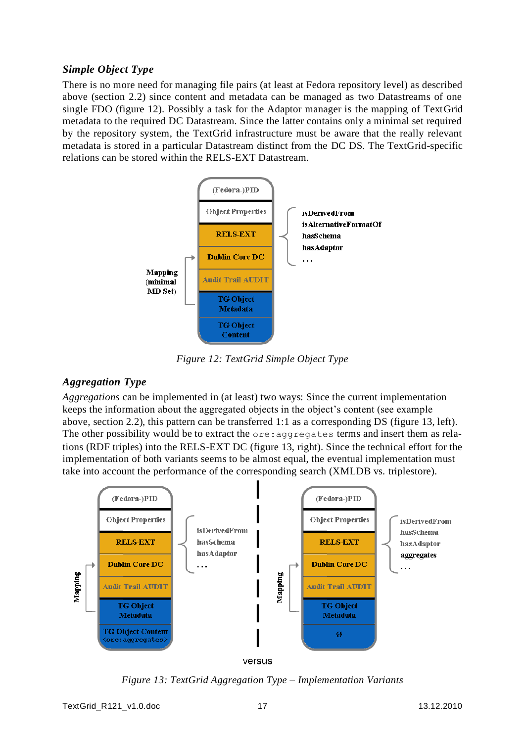#### *Simple Object Type*

There is no more need for managing file pairs (at least at Fedora repository level) as described above (section [2.2\)](#page-5-0) since content and metadata can be managed as two Datastreams of one single FDO (figure 12). Possibly a task for the Adaptor manager is the mapping of TextGrid metadata to the required DC Datastream. Since the latter contains only a minimal set required by the repository system, the TextGrid infrastructure must be aware that the really relevant metadata is stored in a particular Datastream distinct from the DC DS. The TextGrid-specific relations can be stored within the RELS-EXT Datastream.



*Figure 12: TextGrid Simple Object Type*

#### *Aggregation Type*

*Aggregations* can be implemented in (at least) two ways: Since the current implementation keeps the information about the aggregated objects in the object"s content (see example above, section [2.2\)](#page-5-0), this pattern can be transferred 1:1 as a corresponding DS (figure 13, left). The other possibility would be to extract the ore:aggregates terms and insert them as relations (RDF triples) into the RELS-EXT DC (figure 13, right). Since the technical effort for the implementation of both variants seems to be almost equal, the eventual implementation must take into account the performance of the corresponding search (XMLDB vs. triplestore).



*Figure 13: TextGrid Aggregation Type – Implementation Variants*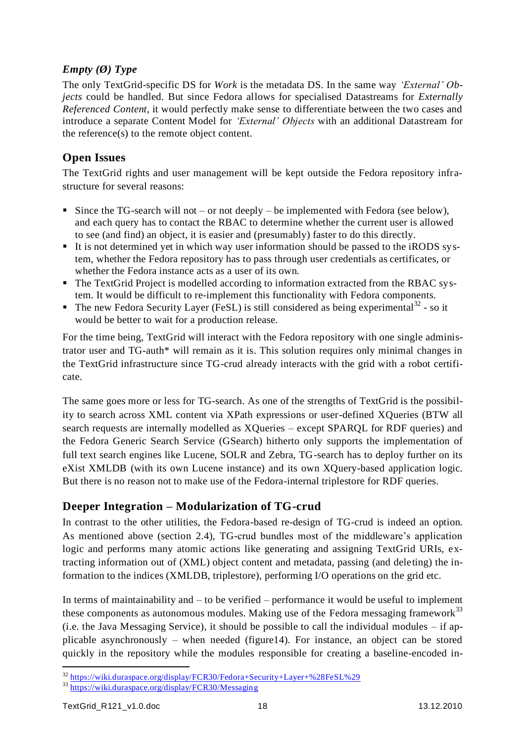#### *Empty (Ø) Type*

The only TextGrid-specific DS for *Work* is the metadata DS. In the same way *'External' Objects* could be handled. But since Fedora allows for specialised Datastreams for *Externally Referenced Content*, it would perfectly make sense to differentiate between the two cases and introduce a separate Content Model for *'External' Objects* with an additional Datastream for the reference(s) to the remote object content.

#### **Open Issues**

The TextGrid rights and user management will be kept outside the Fedora repository infrastructure for several reasons:

- Since the TG-search will not or not deeply be implemented with Fedora (see below), and each query has to contact the RBAC to determine whether the current user is allowed to see (and find) an object, it is easier and (presumably) faster to do this directly.
- It is not determined yet in which way user information should be passed to the iRODS system, whether the Fedora repository has to pass through user credentials as certificates, or whether the Fedora instance acts as a user of its own.
- The TextGrid Project is modelled according to information extracted from the RBAC system. It would be difficult to re-implement this functionality with Fedora components.
- The new Fedora Security Layer (FeSL) is still considered as being experimental<sup>32</sup> so it would be better to wait for a production release.

For the time being, TextGrid will interact with the Fedora repository with one single administrator user and TG-auth\* will remain as it is. This solution requires only minimal changes in the TextGrid infrastructure since TG-crud already interacts with the grid with a robot certificate.

The same goes more or less for TG-search. As one of the strengths of TextGrid is the possibility to search across XML content via XPath expressions or user-defined XQueries (BTW all search requests are internally modelled as XQueries – except SPARQL for RDF queries) and the Fedora Generic Search Service (GSearch) hitherto only supports the implementation of full text search engines like Lucene, SOLR and Zebra, TG-search has to deploy further on its eXist XMLDB (with its own Lucene instance) and its own XQuery-based application logic. But there is no reason not to make use of the Fedora-internal triplestore for RDF queries.

#### **Deeper Integration – Modularization of TG-crud**

In contrast to the other utilities, the Fedora-based re-design of TG-crud is indeed an option. As mentioned above (section [2.4\)](#page-7-0), TG-crud bundles most of the middleware's application logic and performs many atomic actions like generating and assigning TextGrid URIs, extracting information out of (XML) object content and metadata, passing (and deleting) the information to the indices (XMLDB, triplestore), performing I/O operations on the grid etc.

In terms of maintainability and – to be verified – performance it would be useful to implement these components as autonomous modules. Making use of the Fedora messaging framework $33$ (i.e. the Java Messaging Service), it should be possible to call the individual modules – if applicable asynchronously – when needed (figure14). For instance, an object can be stored quickly in the repository while the modules responsible for creating a baseline-encoded in-

 <sup>32</sup> <https://wiki.duraspace.org/display/FCR30/Fedora+Security+Layer+%28FeSL%29>

<sup>33</sup> <https://wiki.duraspace.org/display/FCR30/Messaging>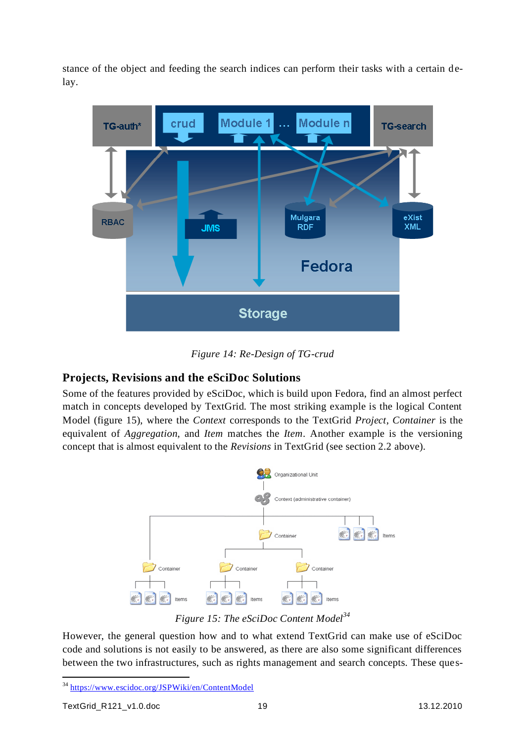stance of the object and feeding the search indices can perform their tasks with a certain delay.



*Figure 14: Re-Design of TG-crud*

#### **Projects, Revisions and the eSciDoc Solutions**

Some of the features provided by eSciDoc, which is build upon Fedora, find an almost perfect match in concepts developed by TextGrid. The most striking example is the logical Content Model (figure 15), where the *Context* corresponds to the TextGrid *Project*, *Container* is the equivalent of *Aggregation*, and *Item* matches the *Item*. Another example is the versioning concept that is almost equivalent to the *Revisions* in TextGrid (see sectio[n 2.2](#page-5-0) above).



*Figure 15: The eSciDoc Content Model<sup>34</sup>*

However, the general question how and to what extend TextGrid can make use of eSciDoc code and solutions is not easily to be answered, as there are also some significant differences between the two infrastructures, such as rights management and search concepts. These ques-

<sup>&</sup>lt;sup>34</sup> <https://www.escidoc.org/JSPWiki/en/ContentModel>